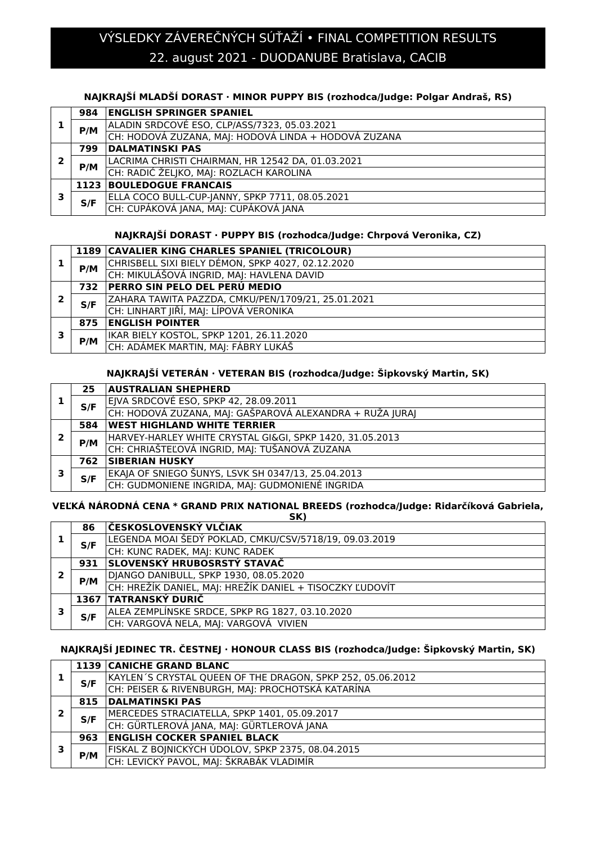# 22. august 2021 - DUODANUBE Bratislava, CACIB VÝSLEDKY ZÁVEREČNÝCH SÚŤAŽÍ • FINAL COMPETITION RESULTS

### **NAJKRAJŠÍ MLADŠÍ DORAST · MINOR PUPPY BIS (rozhodca/Judge: Polgar Andraš, RS)**

|   | 984  | <b>ENGLISH SPRINGER SPANIEL</b>                      |
|---|------|------------------------------------------------------|
|   | P/M  | ALADIN SRDCOVÉ ESO, CLP/ASS/7323, 05.03.2021         |
|   |      | CH: HODOVÁ ZUZANA, MAJ: HODOVÁ LINDA + HODOVÁ ZUZANA |
|   | 799  | <b>DALMATINSKI PAS</b>                               |
| 2 | P/M  | LACRIMA CHRISTI CHAIRMAN, HR 12542 DA, 01.03.2021    |
|   |      | CH: RADIĆ ŽELJKO, MAJ: ROZLACH KAROLINA              |
|   | 1123 | <b>BOULEDOGUE FRANCAIS</b>                           |
| з | S/F  | ELLA COCO BULL-CUP-JANNY, SPKP 7711, 08.05.2021      |
|   |      | CH: CUPÁKOVÁ JANA, MAJ: CUPÁKOVÁ JANA                |

#### **NAJKRAJŠÍ DORAST · PUPPY BIS (rozhodca/Judge: Chrpová Veronika, CZ)**

|   |     | 1189   CAVALIER KING CHARLES SPANIEL (TRICOLOUR)   |
|---|-----|----------------------------------------------------|
|   | P/M | CHRISBELL SIXI BIELY DÉMON, SPKP 4027, 02.12.2020  |
|   |     | CH: MIKULÁŠOVÁ INGRID, MAJ: HAVLENA DAVID          |
|   | 732 | PERRO SIN PELO DEL PERÚ MEDIO                      |
| 2 | S/F | ZAHARA TAWITA PAZZDA, CMKU/PEN/1709/21, 25.01.2021 |
|   |     | CH: LINHART JIŘÍ, MAJ: LÍPOVÁ VERONIKA             |
|   | 875 | <b>ENGLISH POINTER</b>                             |
| 3 | P/M | IKAR BIELY KOSTOL, SPKP 1201, 26.11.2020           |
|   |     | CH: ADÁMEK MARTIN, MAJ: FÁBRY LUKÁŠ                |

### **NAJKRAJŠÍ VETERÁN · VETERAN BIS (rozhodca/Judge: Šipkovský Martin, SK)**

|   | 25  | <b>AUSTRALIAN SHEPHERD</b>                               |
|---|-----|----------------------------------------------------------|
|   | S/F | EJVA SRDCOVÉ ESO, SPKP 42, 28.09.2011                    |
|   |     | CH: HODOVÁ ZUZANA, MAJ: GAŠPAROVÁ ALEXANDRA + RUŽA JURAJ |
|   | 584 | <b>WEST HIGHLAND WHITE TERRIER</b>                       |
| 2 | P/M | HARVEY-HARLEY WHITE CRYSTAL GI&GI, SPKP 1420, 31.05.2013 |
|   |     | CH: CHRIAŠTEĽOVÁ INGRID, MAJ: TUŠANOVÁ ZUZANA            |
|   | 762 | <b>SIBERIAN HUSKY</b>                                    |
| , | S/F | EKAJA OF SNIEGO ŠUNYS, LSVK SH 0347/13, 25.04.2013       |
|   |     | CH: GUDMONIENE INGRIDA, MAI: GUDMONIENÉ INGRIDA          |

#### **VEĽKÁ NÁRODNÁ CENA \* GRAND PRIX NATIONAL BREEDS (rozhodca/Judge: Ridarčíková Gabriela, SK)**

|   | 86   | ČESKOSLOVENSKÝ VLČIAK                                    |
|---|------|----------------------------------------------------------|
|   | S/F  | LEGENDA MOAI ŠEDÝ POKLAD, CMKU/CSV/5718/19, 09.03.2019   |
|   |      | CH: KUNC RADEK, MAJ: KUNC RADEK                          |
| 2 | 931  | SLOVENSKÝ HRUBOSRSTÝ STAVAČ                              |
|   | P/M  | DJANGO DANIBULL, SPKP 1930, 08.05.2020                   |
|   |      | CH: HREŽÍK DANIEL, MAJ: HREŽÍK DANIEL + TISOCZKY ĽUDOVÍT |
| 3 | 1367 | <b>TATRANSKÝ DURIČ</b>                                   |
|   | S/F  | ALEA ZEMPLÍNSKE SRDCE, SPKP RG 1827, 03.10.2020          |
|   |      | CH: VARGOVÁ NELA, MAJ: VARGOVÁ VIVIEN                    |

#### **NAJKRAJŠÍ JEDINEC TR. ČESTNEJ · HONOUR CLASS BIS (rozhodca/Judge: Šipkovský Martin, SK)**

|  |     | 1139 CANICHE GRAND BLANC                                   |
|--|-----|------------------------------------------------------------|
|  | S/F | KAYLEN'S CRYSTAL QUEEN OF THE DRAGON, SPKP 252, 05.06.2012 |
|  |     | CH: PEISER & RIVENBURGH, MAJ: PROCHOTSKÁ KATARÍNA          |
|  | 815 | <b>DALMATINSKI PAS</b>                                     |
|  | S/F | MERCEDES STRACIATELLA, SPKP 1401, 05.09.2017               |
|  |     | CH: GÜRTLEROVÁ JANA, MAJ: GÜRTLEROVÁ JANA                  |
|  | 963 | <b>ENGLISH COCKER SPANIEL BLACK</b>                        |
|  |     | FISKAL Z BOJNICKÝCH ÚDOLOV, SPKP 2375, 08.04.2015          |
|  | P/M | CH: LEVICKÝ PAVOL, MAJ: ŠKRABÁK VLADIMÍR                   |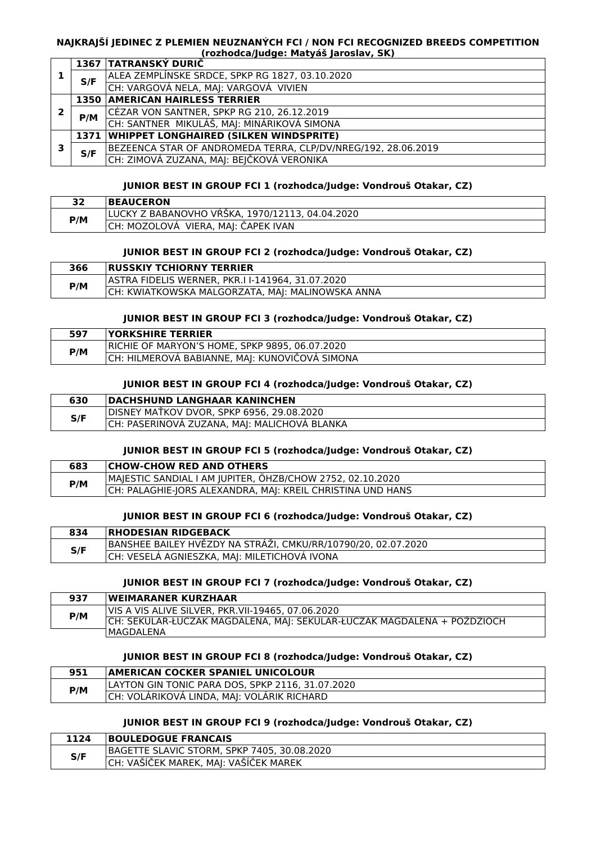#### **NAJKRAJŠÍ JEDINEC Z PLEMIEN NEUZNANÝCH FCI / NON FCI RECOGNIZED BREEDS COMPETITION (rozhodca/Judge: Matyáš Jaroslav, SK)**

|   |     | 1367 TATRANSKÝ DURIČ                                          |
|---|-----|---------------------------------------------------------------|
|   | S/F | ALEA ZEMPLÍNSKE SRDCE, SPKP RG 1827, 03.10.2020               |
|   |     | CH: VARGOVÁ NELA, MAJ: VARGOVÁ VIVIEN                         |
|   |     | <b>1350 AMERICAN HAIRLESS TERRIER</b>                         |
| 2 | P/M | CÉZAR VON SANTNER, SPKP RG 210, 26.12.2019                    |
|   |     | CH: SANTNER MIKULÁŠ, MAJ: MINÁRIKOVÁ SIMONA                   |
|   |     | 1371 WHIPPET LONGHAIRED (SILKEN WINDSPRITE)                   |
| з | S/F | BEZEENCA STAR OF ANDROMEDA TERRA, CLP/DV/NREG/192, 28.06.2019 |
|   |     | CH: ZIMOVÁ ZUZANA, MAJ: BEJČKOVÁ VERONIKA                     |

#### **JUNIOR BEST IN GROUP FCI 1 (rozhodca/Judge: Vondrouš Otakar, CZ)**

| רכ  | <b>BEAUCERON</b>                                |
|-----|-------------------------------------------------|
| P/M | LUCKY Z BABANOVHO VRSKA, 1970/12113, 04.04.2020 |
|     | VIERA, MAJ: ČAPEK IVAN<br> CH: MOZOLOVA 1       |

#### **JUNIOR BEST IN GROUP FCI 2 (rozhodca/Judge: Vondrouš Otakar, CZ)**

| 366 | <b>RUSSKIY TCHIORNY TERRIER</b>                  |
|-----|--------------------------------------------------|
| P/M | ASTRA FIDELIS WERNER. PKR.I I-141964. 31.07.2020 |
|     | CH: KWIATKOWSKA MALGORZATA, MAJ: MALINOWSKA ANNA |

#### **JUNIOR BEST IN GROUP FCI 3 (rozhodca/Judge: Vondrouš Otakar, CZ)**

| 597 | <b><i>YORKSHIRE TERRIER</i></b>                 |
|-----|-------------------------------------------------|
| P/M | IRICHIE OF MARYON'S HOME. SPKP 9895. 06.07.2020 |
|     | CH: HILMEROVA BABIANNE, MAJ: KUNOVIČOVA SIMONA  |

#### **JUNIOR BEST IN GROUP FCI 4 (rozhodca/Judge: Vondrouš Otakar, CZ)**

| DISNEY MATKOV DVOR, SPKP 6956, 29.08.2020<br>S/F<br>CH: PASERINOVÁ ZUZANA, MAJ: MALICHOVÁ BLANKA | 630 | <b>DACHSHUND LANGHAAR KANINCHEN</b> |
|--------------------------------------------------------------------------------------------------|-----|-------------------------------------|
|                                                                                                  |     |                                     |
|                                                                                                  |     |                                     |

#### **JUNIOR BEST IN GROUP FCI 5 (rozhodca/Judge: Vondrouš Otakar, CZ)**

| 683 | <b>CHOW-CHOW RED AND OTHERS</b>                            |
|-----|------------------------------------------------------------|
| P/M | MAJESTIC SANDIAL I AM JUPITER, ÖHZB/CHOW 2752, 02.10.2020  |
|     | CH: PALAGHIE-JORS ALEXANDRA, MAI: KREIL CHRISTINA UND HANS |

#### **JUNIOR BEST IN GROUP FCI 6 (rozhodca/Judge: Vondrouš Otakar, CZ)**

| 834 | <b>IRHODESIAN RIDGEBACK</b>                                   |
|-----|---------------------------------------------------------------|
| S/F | BANSHEE BAILEY HVĚZDY NA STRÁŽI, CMKU/RR/10790/20, 02.07.2020 |
|     | CH: VESELA AGNIESZKA, MAJ: MILETICHOVÁ IVONA                  |

#### **JUNIOR BEST IN GROUP FCI 7 (rozhodca/Judge: Vondrouš Otakar, CZ)**

| 937 | <b>WEIMARANER KURZHAAR</b>                                              |
|-----|-------------------------------------------------------------------------|
| P/M | VIS A VIS ALIVE SILVER, PKR.VII-19465, 07.06.2020                       |
|     | CH: SEKULAR-ŁUCZAK MAGDALENA, MAJ: SEKULAR-ŁUCZAK MAGDALENA + POŻDZIOCH |
|     | IMAGDALENA                                                              |

#### **JUNIOR BEST IN GROUP FCI 8 (rozhodca/Judge: Vondrouš Otakar, CZ)**

| 951 | <b>AMERICAN COCKER SPANIEL UNICOLOUR  </b>       |
|-----|--------------------------------------------------|
| P/M | LAYTON GIN TONIC PARA DOS, SPKP 2116, 31.07.2020 |
|     | CH: VOLÁRIKOVÁ LINDA, MAJ: VOLÁRIK RICHARD       |

#### **JUNIOR BEST IN GROUP FCI 9 (rozhodca/Judge: Vondrouš Otakar, CZ)**

| 1124 | <b>BOULEDOGUE FRANCAIS</b>                  |
|------|---------------------------------------------|
| S/F  | BAGETTE SLAVIC STORM, SPKP 7405, 30.08.2020 |
|      | CH: VAŠÍČEK MAREK, MAJ: VAŠÍČEK MAREK       |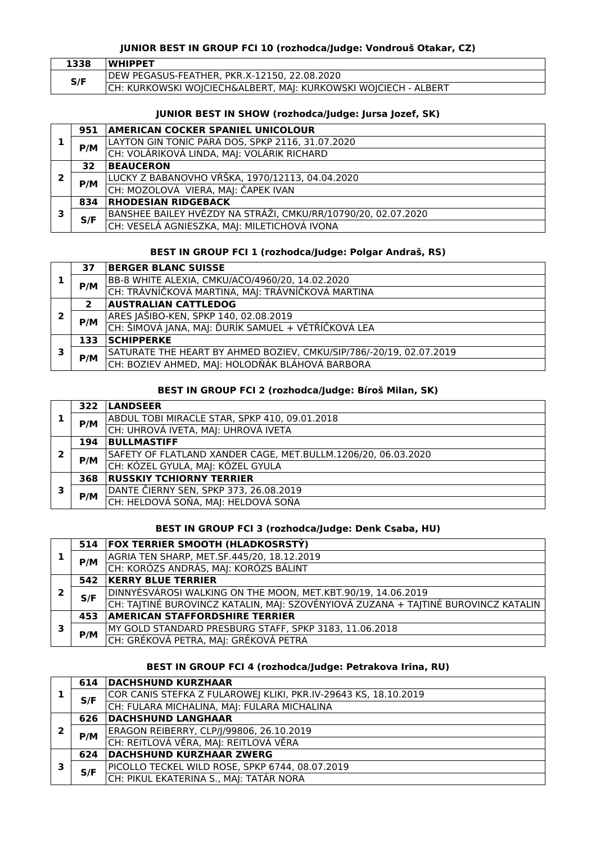### **JUNIOR BEST IN GROUP FCI 10 (rozhodca/Judge: Vondrouš Otakar, CZ)**

| 1338 | <b>WHIPPET</b>                                                  |
|------|-----------------------------------------------------------------|
| S/F  | IDEW PEGASUS-FEATHER. PKR.X-12150. 22.08.2020                   |
|      | CH: KURKOWSKI WOJCIECH&ALBERT, MAJ: KURKOWSKI WOJCIECH - ALBERT |

#### **JUNIOR BEST IN SHOW (rozhodca/Judge: Jursa Jozef, SK)**

|   | 951 | <b>AMERICAN COCKER SPANIEL UNICOLOUR</b>                      |
|---|-----|---------------------------------------------------------------|
|   | P/M | LAYTON GIN TONIC PARA DOS, SPKP 2116, 31.07.2020              |
|   |     | CH: VOLÁRIKOVÁ LINDA, MAJ: VOLÁRIK RICHARD                    |
|   | 32  | <b>BEAUCERON</b>                                              |
| 2 | P/M | LUCKY Z BABANOVHO VŔŠKA, 1970/12113, 04.04.2020               |
|   |     | CH: MOZOLOVÁ VIERA, MAJ: ČAPEK IVAN                           |
|   | 834 | <b>RHODESIAN RIDGEBACK</b>                                    |
| 3 | S/F | BANSHEE BAILEY HVĚZDY NA STRÁŽI, CMKU/RR/10790/20, 02.07.2020 |
|   |     | CH: VESELÁ AGNIESZKA, MAJ: MILETICHOVÁ IVONA                  |

#### **BEST IN GROUP FCI 1 (rozhodca/Judge: Polgar Andraš, RS)**

|   | 37  | <b>BERGER BLANC SUISSE</b>                                          |
|---|-----|---------------------------------------------------------------------|
|   | P/M | BB-8 WHITE ALEXIA, CMKU/ACO/4960/20, 14.02.2020                     |
|   |     | CH: TRÁVNÍČKOVÁ MARTINA, MAJ: TRÁVNÍČKOVÁ MARTINA                   |
|   | 2   | <b>AUSTRALIAN CATTLEDOG</b>                                         |
| 2 | P/M | ARES JAŠIBO-KEN, SPKP 140, 02.08.2019                               |
|   |     | CH: ŠIMOVÁ JANA, MAJ: ĎURÍK SAMUEL + VĚTŘÍČKOVÁ LEA                 |
|   | 133 | <b>SCHIPPERKE</b>                                                   |
| З |     | SATURATE THE HEART BY AHMED BOZIEV, CMKU/SIP/786/-20/19, 02.07.2019 |
|   | P/M | CH: BOZIEV AHMED, MAJ: HOLODŇÁK BLÁHOVÁ BARBORA                     |

#### **BEST IN GROUP FCI 2 (rozhodca/Judge: Bíroš Milan, SK)**

|   | 322 | <b>LANDSEER</b>                                               |
|---|-----|---------------------------------------------------------------|
|   | P/M | ABDUL TOBI MIRACLE STAR, SPKP 410, 09.01.2018                 |
|   |     | CH: UHROVÁ IVETA, MAJ: UHROVÁ IVETA                           |
|   | 194 | <b>BULLMASTIFF</b>                                            |
| כ | P/M | SAFETY OF FLATLAND XANDER CAGE, MET.BULLM.1206/20, 06.03.2020 |
|   |     | CH: KÓZEL GYULA, MAJ: KÓZEL GYULA                             |
|   | 368 | <b>RUSSKIY TCHIORNY TERRIER</b>                               |
| 3 | P/M | DANTE ČIERNY SEN, SPKP 373, 26.08.2019                        |
|   |     | CH: HELDOVÁ SOŇA, MAJ: HELDOVÁ SOŇA                           |

#### **BEST IN GROUP FCI 3 (rozhodca/Judge: Denk Csaba, HU)**

|  |     | 514 FOX TERRIER SMOOTH (HLADKOSRSTÝ)                                               |
|--|-----|------------------------------------------------------------------------------------|
|  | P/M | AGRIA TEN SHARP, MET.SF.445/20, 18.12.2019                                         |
|  |     | CH: KORÓZS ANDRÁS, MAJ: KORÓZS BÁLINT                                              |
|  | 542 | <b>KERRY BLUE TERRIER</b>                                                          |
|  | S/F | DINNYÉSVÁROSI WALKING ON THE MOON, MET.KBT.90/19, 14.06.2019                       |
|  |     | CH: TAJTINÉ BUROVINCZ KATALIN, MAJ: SZOVÉNYIOVÁ ZUZANA + TAJTINÉ BUROVINCZ KATALIN |
|  | 453 | <b>AMERICAN STAFFORDSHIRE TERRIER</b>                                              |
|  | P/M | MY GOLD STANDARD PRESBURG STAFF, SPKP 3183, 11.06.2018                             |
|  |     | CH: GRÉKOVÁ PETRA, MAJ: GRÉKOVÁ PETRA                                              |
|  |     |                                                                                    |

### **BEST IN GROUP FCI 4 (rozhodca/Judge: Petrakova Irina, RU)**

|   | 614 | DACHSHUND KURZHAAR                                              |
|---|-----|-----------------------------------------------------------------|
|   | S/F | COR CANIS STEFKA Z FULAROWEJ KLIKI, PKR.IV-29643 KS, 18.10.2019 |
|   |     | CH: FULARA MICHALINA, MAJ: FULARA MICHALINA                     |
|   | 626 | <b>DACHSHUND LANGHAAR</b>                                       |
| 2 | P/M | ERAGON REIBERRY, CLP/J/99806, 26.10.2019                        |
|   |     | CH: REITLOVÁ VĚRA, MAJ: REITLOVÁ VĚRA                           |
| 3 | 624 | <b>DACHSHUND KURZHAAR ZWERG</b>                                 |
|   | S/F | PICOLLO TECKEL WILD ROSE, SPKP 6744, 08.07.2019                 |
|   |     | CH: PIKUL EKATERINA S., MAJ: TATÁR NORA                         |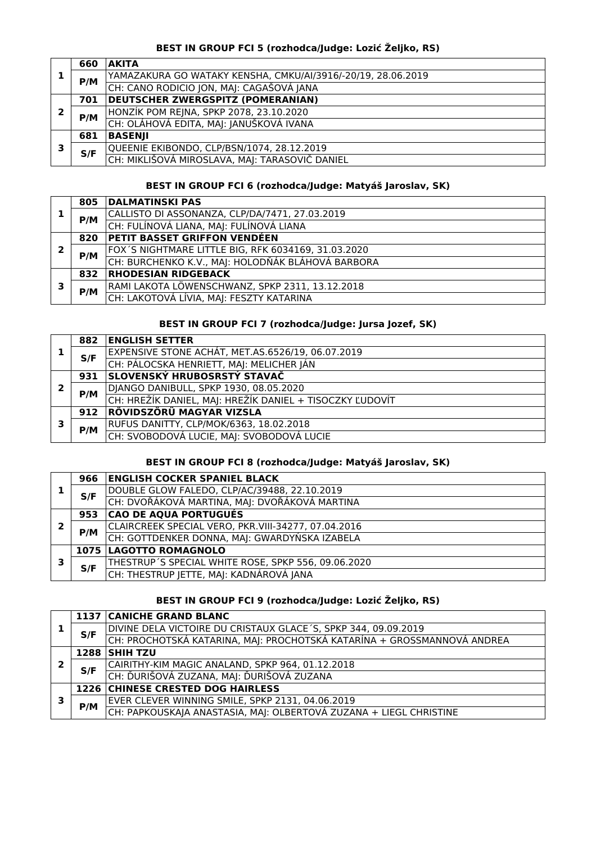## **BEST IN GROUP FCI 5 (rozhodca/Judge: Lozić Željko, RS)**

|   | 660 | AKITA                                                        |
|---|-----|--------------------------------------------------------------|
|   | P/M | YAMAZAKURA GO WATAKY KENSHA, CMKU/AI/3916/-20/19, 28.06.2019 |
|   |     | CH: CANO RODICIO JON, MAJ: CAGAŠOVÁ JANA                     |
|   | 701 | <b>DEUTSCHER ZWERGSPITZ (POMERANIAN)</b>                     |
|   | P/M | HONZÍK POM REJNA, SPKP 2078, 23.10.2020                      |
|   |     | CH: OLÁHOVÁ EDITA, MAJ: JANUŠKOVÁ IVANA                      |
|   | 681 | <b>BASENJI</b>                                               |
| э | S/F | QUEENIE EKIBONDO, CLP/BSN/1074, 28.12.2019                   |
|   |     | CH: MIKLIŠOVÁ MIROSLAVA, MAJ: TARASOVIČ DANIEL               |

#### **BEST IN GROUP FCI 6 (rozhodca/Judge: Matyáš Jaroslav, SK)**

|   | 805 | <b>DALMATINSKI PAS</b>                              |
|---|-----|-----------------------------------------------------|
|   | P/M | CALLISTO DI ASSONANZA, CLP/DA/7471, 27.03.2019      |
|   |     | CH: FULÍNOVÁ LIANA, MAJ: FULÍNOVÁ LIANA             |
|   | 820 | <b>PETIT BASSET GRIFFON VENDÉEN</b>                 |
| 2 | P/M | FOX'S NIGHTMARE LITTLE BIG, RFK 6034169, 31.03.2020 |
|   |     | CH: BURCHENKO K.V., MAJ: HOLODŇÁK BLÁHOVÁ BARBORA   |
|   | 832 | <b>RHODESIAN RIDGEBACK</b>                          |
| э |     | RAMI LAKOTA LÖWENSCHWANZ, SPKP 2311, 13.12.2018     |
|   | P/M | CH: LAKOTOVÁ LÍVIA, MAJ: FESZTY KATARINA            |

### **BEST IN GROUP FCI 7 (rozhodca/Judge: Jursa Jozef, SK)**

|   | 882 | <b>ENGLISH SETTER</b>                                    |
|---|-----|----------------------------------------------------------|
|   | S/F | EXPENSIVE STONE ACHÁT, MET.AS.6526/19, 06.07.2019        |
|   |     | CH: PÁLOCSKA HENRIETT, MAJ: MELICHER JÁN                 |
|   | 931 | SLOVENSKÝ HRUBOSRSTÝ STAVAČ                              |
|   | P/M | DJANGO DANIBULL, SPKP 1930, 08.05.2020                   |
|   |     | CH: HREŽÍK DANIEL, MAJ: HREŽÍK DANIEL + TISOCZKY ĽUDOVÍT |
| 3 | 912 | <b>RÖVIDSZÖRÜ MAGYAR VIZSLA</b>                          |
|   |     | RUFUS DANITTY, CLP/MOK/6363, 18.02.2018                  |
|   | P/M | CH: SVOBODOVÁ LUCIE, MAJ: SVOBODOVÁ LUCIE                |

### **BEST IN GROUP FCI 8 (rozhodca/Judge: Matyáš Jaroslav, SK)**

|   | 966 | <b>ENGLISH COCKER SPANIEL BLACK</b>                 |
|---|-----|-----------------------------------------------------|
|   | S/F | DOUBLE GLOW FALEDO, CLP/AC/39488, 22.10.2019        |
|   |     | CH: DVOŘÁKOVÁ MARTINA, MAJ: DVOŘÁKOVÁ MARTINA       |
| 2 | 953 | <b>CAO DE AQUA PORTUGUÉS</b>                        |
|   | P/M | CLAIRCREEK SPECIAL VERO, PKR.VIII-34277, 07.04.2016 |
|   |     | CH: GOTTDENKER DONNA, MAJ: GWARDYŃSKA IZABELA       |
| 3 |     | <b>1075 LAGOTTO ROMAGNOLO</b>                       |
|   | S/F | THESTRUP'S SPECIAL WHITE ROSE, SPKP 556, 09.06.2020 |
|   |     | CH: THESTRUP JETTE, MAJ: KADNÁROVÁ JANA             |

### **BEST IN GROUP FCI 9 (rozhodca/Judge: Lozić Željko, RS)**

|   |     | 1137 CANICHE GRAND BLANC                                                |
|---|-----|-------------------------------------------------------------------------|
|   | S/F | DIVINE DELA VICTOIRE DU CRISTAUX GLACE'S, SPKP 344, 09.09.2019          |
|   |     | CH: PROCHOTSKÁ KATARINA, MAJ: PROCHOTSKÁ KATARÍNA + GROSSMANNOVÁ ANDREA |
|   |     | <b>1288 SHIH TZU</b>                                                    |
|   | S/F | CAIRITHY-KIM MAGIC ANALAND, SPKP 964, 01.12.2018                        |
|   |     | CH: ĎURIŠOVÁ ZUZANA, MAJ: ĎURIŠOVÁ ZUZANA                               |
| 3 |     | <b>1226 CHINESE CRESTED DOG HAIRLESS</b>                                |
|   | P/M | EVER CLEVER WINNING SMILE, SPKP 2131, 04.06.2019                        |
|   |     | CH: PAPKOUSKAJA ANASTASIA, MAJ: OLBERTOVÁ ZUZANA + LIEGL CHRISTINE      |